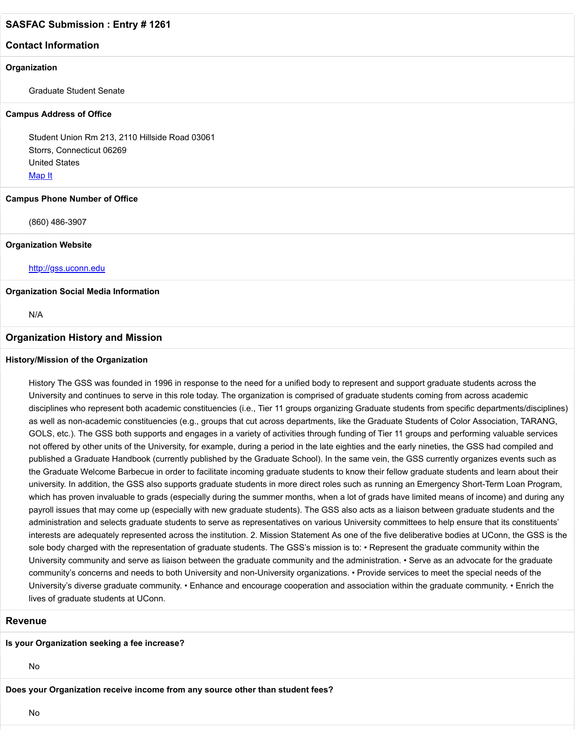### **Contact Information**

#### **Organization**

Graduate Student Senate

#### **Campus Address of Office**

Student Union Rm 213, 2110 Hillside Road 03061 Storrs, Connecticut 06269 United States [Map It](http://maps.google.com/maps?q=Student+Union+Rm+213%2C+2110+Hillside+Road+03061+Storrs%2C+Connecticut+06269+United+States)

#### **Campus Phone Number of Office**

(860) 486-3907

#### **Organization Website**

#### [http://gss.uconn.edu](http://gss.uconn.edu/)

#### **Organization Social Media Information**

N/A

#### **Organization History and Mission**

#### **History/Mission of the Organization**

History The GSS was founded in 1996 in response to the need for a unified body to represent and support graduate students across the University and continues to serve in this role today. The organization is comprised of graduate students coming from across academic disciplines who represent both academic constituencies (i.e., Tier 11 groups organizing Graduate students from specific departments/disciplines) as well as non-academic constituencies (e.g., groups that cut across departments, like the Graduate Students of Color Association, TARANG, GOLS, etc.). The GSS both supports and engages in a variety of activities through funding of Tier 11 groups and performing valuable services not offered by other units of the University, for example, during a period in the late eighties and the early nineties, the GSS had compiled and published a Graduate Handbook (currently published by the Graduate School). In the same vein, the GSS currently organizes events such as the Graduate Welcome Barbecue in order to facilitate incoming graduate students to know their fellow graduate students and learn about their university. In addition, the GSS also supports graduate students in more direct roles such as running an Emergency Short-Term Loan Program, which has proven invaluable to grads (especially during the summer months, when a lot of grads have limited means of income) and during any payroll issues that may come up (especially with new graduate students). The GSS also acts as a liaison between graduate students and the administration and selects graduate students to serve as representatives on various University committees to help ensure that its constituents' interests are adequately represented across the institution. 2. Mission Statement As one of the five deliberative bodies at UConn, the GSS is the sole body charged with the representation of graduate students. The GSS's mission is to: • Represent the graduate community within the University community and serve as liaison between the graduate community and the administration. • Serve as an advocate for the graduate community's concerns and needs to both University and non-University organizations. • Provide services to meet the special needs of the University's diverse graduate community. • Enhance and encourage cooperation and association within the graduate community. • Enrich the lives of graduate students at UConn.

### **Revenue**

#### **Is your Organization seeking a fee increase?**

No

**Does your Organization receive income from any source other than student fees?**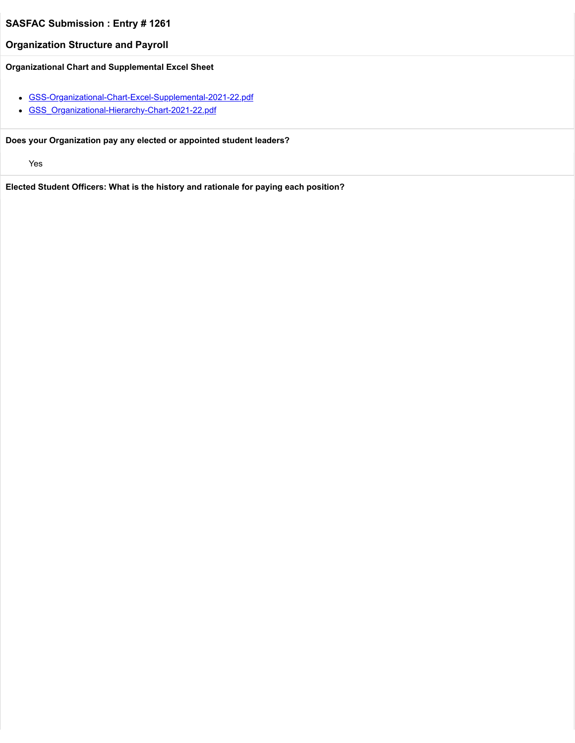### **Organization Structure and Payroll**

**Organizational Chart and Supplemental Excel Sheet**

- [GSS-Organizational-Chart-Excel-Supplemental-2021-22.pdf](https://trusteeorgsupport.uconn.edu/index.php?gf-download=2022%2F02%2FGSS-Organizational-Chart-Excel-Supplemental-2021-22.pdf&form-id=18&field-id=13&hash=2b100929cc093656995186285b46c5d42e1ab9d72273131a8c417c51bffb3a61)
- [GSS\\_Organizational-Hierarchy-Chart-2021-22.pdf](https://trusteeorgsupport.uconn.edu/index.php?gf-download=2022%2F02%2FGSS_Organizational-Hierarchy-Chart-2021-22.pdf&form-id=18&field-id=13&hash=c49080c3363fffaae4c42413ce38a29e3c4a0055c3c1ccd0ab825622a0ea4b67)

### **Does your Organization pay any elected or appointed student leaders?**

Yes

**Elected Student Officers: What is the history and rationale for paying each position?**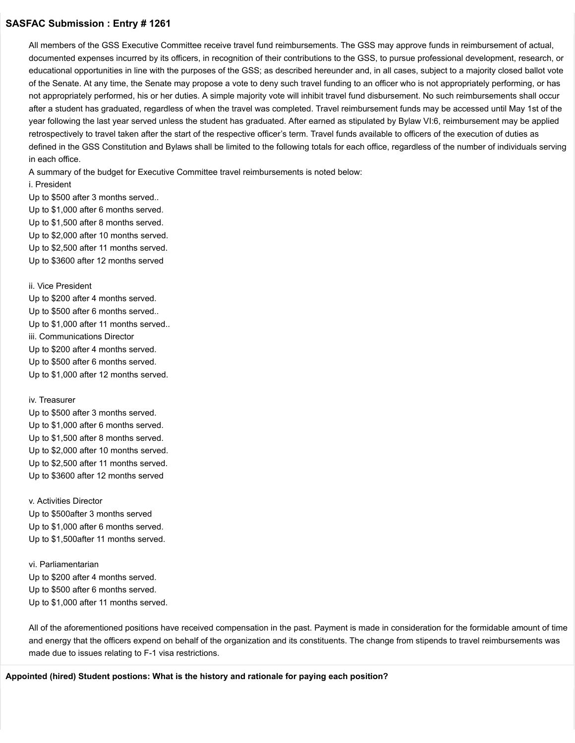All members of the GSS Executive Committee receive travel fund reimbursements. The GSS may approve funds in reimbursement of actual, documented expenses incurred by its officers, in recognition of their contributions to the GSS, to pursue professional development, research, or educational opportunities in line with the purposes of the GSS; as described hereunder and, in all cases, subject to a majority closed ballot vote of the Senate. At any time, the Senate may propose a vote to deny such travel funding to an officer who is not appropriately performing, or has not appropriately performed, his or her duties. A simple majority vote will inhibit travel fund disbursement. No such reimbursements shall occur after a student has graduated, regardless of when the travel was completed. Travel reimbursement funds may be accessed until May 1st of the year following the last year served unless the student has graduated. After earned as stipulated by Bylaw VI:6, reimbursement may be applied retrospectively to travel taken after the start of the respective officer's term. Travel funds available to officers of the execution of duties as defined in the GSS Constitution and Bylaws shall be limited to the following totals for each office, regardless of the number of individuals serving in each office.

A summary of the budget for Executive Committee travel reimbursements is noted below:

i. President Up to \$500 after 3 months served.. Up to \$1,000 after 6 months served. Up to \$1,500 after 8 months served. Up to \$2,000 after 10 months served. Up to \$2,500 after 11 months served. Up to \$3600 after 12 months served

#### ii. Vice President

Up to \$200 after 4 months served. Up to \$500 after 6 months served.. Up to \$1,000 after 11 months served.. iii. Communications Director Up to \$200 after 4 months served. Up to \$500 after 6 months served. Up to \$1,000 after 12 months served.

#### iv. Treasurer

Up to \$500 after 3 months served. Up to \$1,000 after 6 months served. Up to \$1,500 after 8 months served. Up to \$2,000 after 10 months served. Up to \$2,500 after 11 months served. Up to \$3600 after 12 months served

v. Activities Director Up to \$500after 3 months served Up to \$1,000 after 6 months served. Up to \$1,500after 11 months served.

vi. Parliamentarian Up to \$200 after 4 months served. Up to \$500 after 6 months served. Up to \$1,000 after 11 months served.

All of the aforementioned positions have received compensation in the past. Payment is made in consideration for the formidable amount of time and energy that the officers expend on behalf of the organization and its constituents. The change from stipends to travel reimbursements was made due to issues relating to F-1 visa restrictions.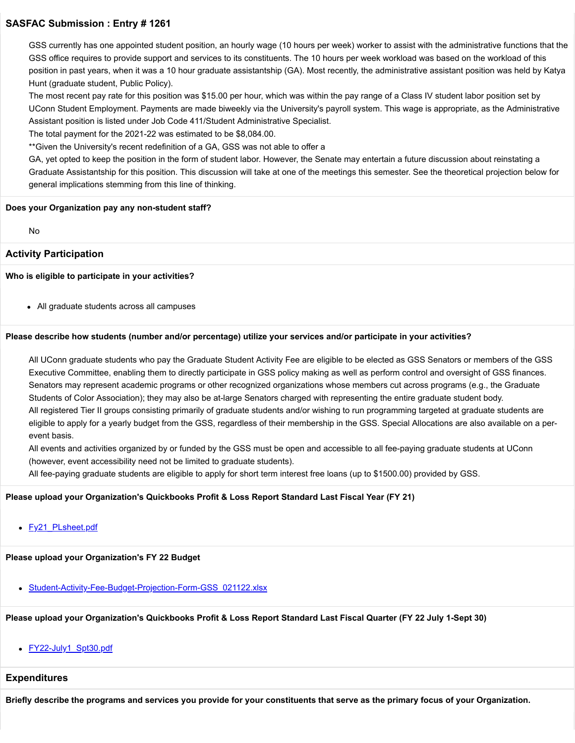GSS currently has one appointed student position, an hourly wage (10 hours per week) worker to assist with the administrative functions that the GSS office requires to provide support and services to its constituents. The 10 hours per week workload was based on the workload of this position in past years, when it was a 10 hour graduate assistantship (GA). Most recently, the administrative assistant position was held by Katya Hunt (graduate student, Public Policy).

The most recent pay rate for this position was \$15.00 per hour, which was within the pay range of a Class IV student labor position set by UConn Student Employment. Payments are made biweekly via the University's payroll system. This wage is appropriate, as the Administrative Assistant position is listed under Job Code 411/Student Administrative Specialist.

The total payment for the 2021-22 was estimated to be \$8,084.00.

\*\*Given the University's recent redefinition of a GA, GSS was not able to offer a

GA, yet opted to keep the position in the form of student labor. However, the Senate may entertain a future discussion about reinstating a Graduate Assistantship for this position. This discussion will take at one of the meetings this semester. See the theoretical projection below for general implications stemming from this line of thinking.

### **Does your Organization pay any non-student staff?**

No

### **Activity Participation**

### **Who is eligible to participate in your activities?**

All graduate students across all campuses

### **Please describe how students (number and/or percentage) utilize your services and/or participate in your activities?**

All UConn graduate students who pay the Graduate Student Activity Fee are eligible to be elected as GSS Senators or members of the GSS Executive Committee, enabling them to directly participate in GSS policy making as well as perform control and oversight of GSS finances. Senators may represent academic programs or other recognized organizations whose members cut across programs (e.g., the Graduate Students of Color Association); they may also be at-large Senators charged with representing the entire graduate student body. All registered Tier II groups consisting primarily of graduate students and/or wishing to run programming targeted at graduate students are eligible to apply for a yearly budget from the GSS, regardless of their membership in the GSS. Special Allocations are also available on a perevent basis.

All events and activities organized by or funded by the GSS must be open and accessible to all fee-paying graduate students at UConn (however, event accessibility need not be limited to graduate students).

All fee-paying graduate students are eligible to apply for short term interest free loans (up to \$1500.00) provided by GSS.

### **Please upload your Organization's Quickbooks Profit & Loss Report Standard Last Fiscal Year (FY 21)**

• **Fy21 PLsheet.pdf** 

### **Please upload your Organization's FY 22 Budget**

[Student-Activity-Fee-Budget-Projection-Form-GSS\\_021122.xlsx](https://trusteeorgsupport.uconn.edu/index.php?gf-download=2022%2F02%2FStudent-Activity-Fee-Budget-Projection-Form-GSS_021122.xlsx&form-id=18&field-id=65&hash=e34d088afb1c37cfd4e8fb647247ad0feef285e511d35d0777ccc2359ee02fbe)

**Please upload your Organization's Quickbooks Profit & Loss Report Standard Last Fiscal Quarter (FY 22 July 1-Sept 30)**

• [FY22-July1\\_Spt30.pdf](https://trusteeorgsupport.uconn.edu/index.php?gf-download=2022%2F02%2FFY22-July1_Spt30.pdf&form-id=18&field-id=64&hash=dcdd00091d09fce5bfd8e8c1250c313d2c366b2158acd5906bfcae4229aacf1e)

### **Expenditures**

**Briefly describe the programs and services you provide for your constituents that serve as the primary focus of your Organization.**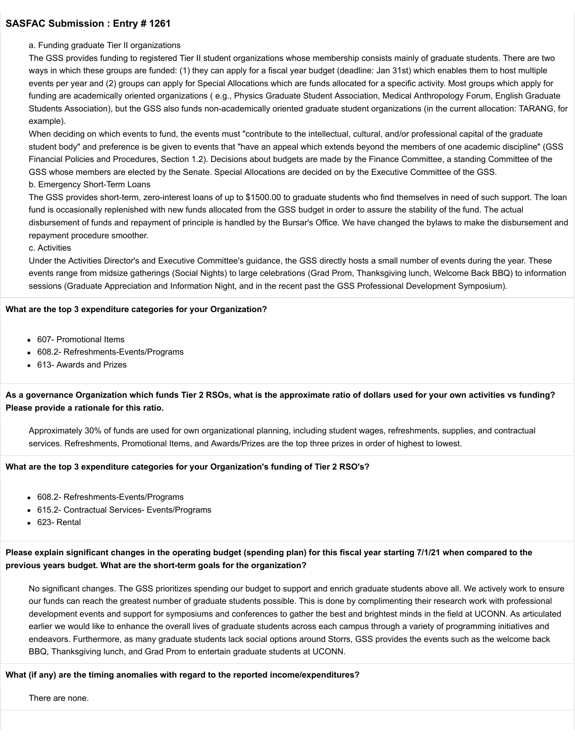a. Funding graduate Tier II organizations

The GSS provides funding to registered Tier II student organizations whose membership consists mainly of graduate students. There are two ways in which these groups are funded: (1) they can apply for a fiscal year budget (deadline: Jan 31st) which enables them to host multiple events per year and (2) groups can apply for Special Allocations which are funds allocated for a specific activity. Most groups which apply for funding are academically oriented organizations ( e.g., Physics Graduate Student Association, Medical Anthropology Forum, English Graduate Students Association), but the GSS also funds non-academically oriented graduate student organizations (in the current allocation: TARANG, for example).

When deciding on which events to fund, the events must "contribute to the intellectual, cultural, and/or professional capital of the graduate student body" and preference is be given to events that "have an appeal which extends beyond the members of one academic discipline" (GSS Financial Policies and Procedures, Section 1.2). Decisions about budgets are made by the Finance Committee, a standing Committee of the GSS whose members are elected by the Senate. Special Allocations are decided on by the Executive Committee of the GSS. b. Emergency Short-Term Loans

The GSS provides short-term, zero-interest loans of up to \$1500.00 to graduate students who find themselves in need of such support. The loan fund is occasionally replenished with new funds allocated from the GSS budget in order to assure the stability of the fund. The actual disbursement of funds and repayment of principle is handled by the Bursar's Office. We have changed the bylaws to make the disbursement and repayment procedure smoother.

c. Activities

Under the Activities Director's and Executive Committee's guidance, the GSS directly hosts a small number of events during the year. These events range from midsize gatherings (Social Nights) to large celebrations (Grad Prom, Thanksgiving lunch, Welcome Back BBQ) to information sessions (Graduate Appreciation and Information Night, and in the recent past the GSS Professional Development Symposium).

### **What are the top 3 expenditure categories for your Organization?**

- 607- Promotional Items
- 608.2- Refreshments-Events/Programs
- 613- Awards and Prizes

**As a governance Organization which funds Tier 2 RSOs, what is the approximate ratio of dollars used for your own activities vs funding? Please provide a rationale for this ratio.**

Approximately 30% of funds are used for own organizational planning, including student wages, refreshments, supplies, and contractual services. Refreshments, Promotional Items, and Awards/Prizes are the top three prizes in order of highest to lowest.

### **What are the top 3 expenditure categories for your Organization's funding of Tier 2 RSO's?**

- 608.2- Refreshments-Events/Programs
- 615.2- Contractual Services- Events/Programs
- 623- Rental

### **Please explain significant changes in the operating budget (spending plan) for this fiscal year starting 7/1/21 when compared to the previous years budget. What are the short-term goals for the organization?**

No significant changes. The GSS prioritizes spending our budget to support and enrich graduate students above all. We actively work to ensure our funds can reach the greatest number of graduate students possible. This is done by complimenting their research work with professional development events and support for symposiums and conferences to gather the best and brightest minds in the field at UCONN. As articulated earlier we would like to enhance the overall lives of graduate students across each campus through a variety of programming initiatives and endeavors. Furthermore, as many graduate students lack social options around Storrs, GSS provides the events such as the welcome back BBQ, Thanksgiving lunch, and Grad Prom to entertain graduate students at UCONN.

#### **What (if any) are the timing anomalies with regard to the reported income/expenditures?**

There are none.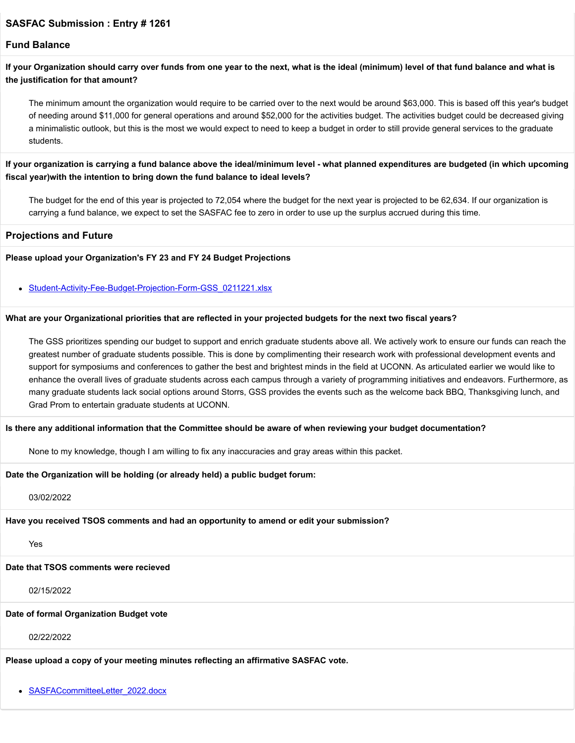### **Fund Balance**

**If your Organization should carry over funds from one year to the next, what is the ideal (minimum) level of that fund balance and what is the justification for that amount?**

The minimum amount the organization would require to be carried over to the next would be around \$63,000. This is based off this year's budget of needing around \$11,000 for general operations and around \$52,000 for the activities budget. The activities budget could be decreased giving a minimalistic outlook, but this is the most we would expect to need to keep a budget in order to still provide general services to the graduate students.

**If your organization is carrying a fund balance above the ideal/minimum level - what planned expenditures are budgeted (in which upcoming fiscal year)with the intention to bring down the fund balance to ideal levels?**

The budget for the end of this year is projected to 72,054 where the budget for the next year is projected to be 62,634. If our organization is carrying a fund balance, we expect to set the SASFAC fee to zero in order to use up the surplus accrued during this time.

#### **Projections and Future**

**Please upload your Organization's FY 23 and FY 24 Budget Projections**

[Student-Activity-Fee-Budget-Projection-Form-GSS\\_0211221.xlsx](https://trusteeorgsupport.uconn.edu/index.php?gf-download=2022%2F02%2FStudent-Activity-Fee-Budget-Projection-Form-GSS_0211221.xlsx&form-id=18&field-id=63&hash=35919a982413b13d7e237c1c994dfe7b539013355ad5a4afc53eae17dd58a968)

#### **What are your Organizational priorities that are reflected in your projected budgets for the next two fiscal years?**

The GSS prioritizes spending our budget to support and enrich graduate students above all. We actively work to ensure our funds can reach the greatest number of graduate students possible. This is done by complimenting their research work with professional development events and support for symposiums and conferences to gather the best and brightest minds in the field at UCONN. As articulated earlier we would like to enhance the overall lives of graduate students across each campus through a variety of programming initiatives and endeavors. Furthermore, as many graduate students lack social options around Storrs, GSS provides the events such as the welcome back BBQ, Thanksgiving lunch, and Grad Prom to entertain graduate students at UCONN.

#### **Is there any additional information that the Committee should be aware of when reviewing your budget documentation?**

None to my knowledge, though I am willing to fix any inaccuracies and gray areas within this packet.

#### **Date the Organization will be holding (or already held) a public budget forum:**

03/02/2022

### **Have you received TSOS comments and had an opportunity to amend or edit your submission?**

Yes

### **Date that TSOS comments were recieved**

02/15/2022

### **Date of formal Organization Budget vote**

02/22/2022

**Please upload a copy of your meeting minutes reflecting an affirmative SASFAC vote.**

• SASFACcommitteeLetter 2022.docx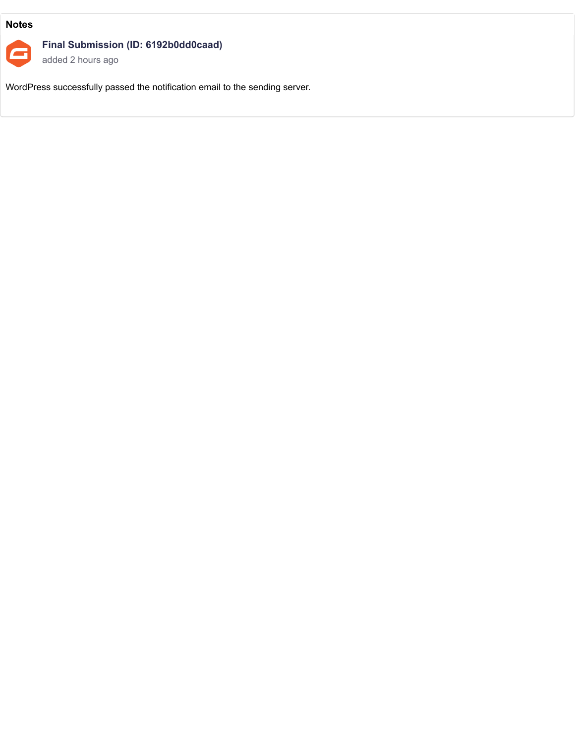### **Notes**



### **Final Submission (ID: 6192b0dd0caad)**

added 2 hours ago

WordPress successfully passed the notification email to the sending server.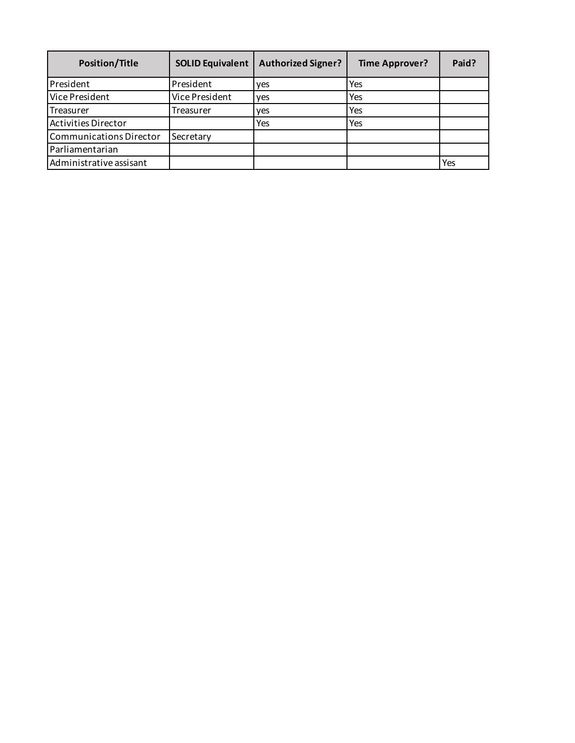| <b>Position/Title</b>          | <b>SOLID Equivalent</b> | <b>Authorized Signer?</b> | <b>Time Approver?</b> | Paid? |
|--------------------------------|-------------------------|---------------------------|-----------------------|-------|
| President                      | President               | <b>ves</b>                | Yes                   |       |
| Vice President                 | Vice President          | yes                       | Yes                   |       |
| Treasurer                      | Treasurer               | ves                       | Yes                   |       |
| <b>Activities Director</b>     |                         | Yes                       | Yes                   |       |
| <b>Communications Director</b> | Secretary               |                           |                       |       |
| Parliamentarian                |                         |                           |                       |       |
| Administrative assisant        |                         |                           |                       | Yes   |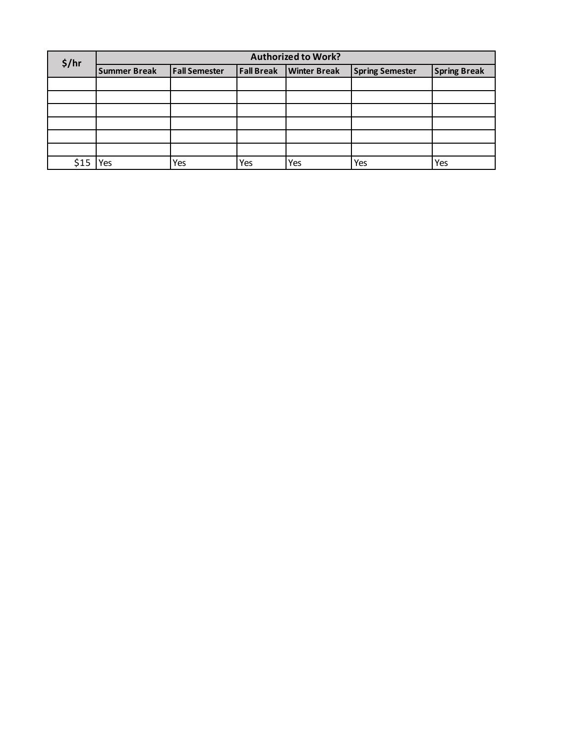| \$/hr | <b>Authorized to Work?</b> |                      |                   |                     |                        |                     |
|-------|----------------------------|----------------------|-------------------|---------------------|------------------------|---------------------|
|       | <b>Summer Break</b>        | <b>Fall Semester</b> | <b>Fall Break</b> | <b>Winter Break</b> | <b>Spring Semester</b> | <b>Spring Break</b> |
|       |                            |                      |                   |                     |                        |                     |
|       |                            |                      |                   |                     |                        |                     |
|       |                            |                      |                   |                     |                        |                     |
|       |                            |                      |                   |                     |                        |                     |
|       |                            |                      |                   |                     |                        |                     |
|       |                            |                      |                   |                     |                        |                     |
| \$15  | Yes                        | Yes                  | Yes               | Yes                 | Yes                    | Yes                 |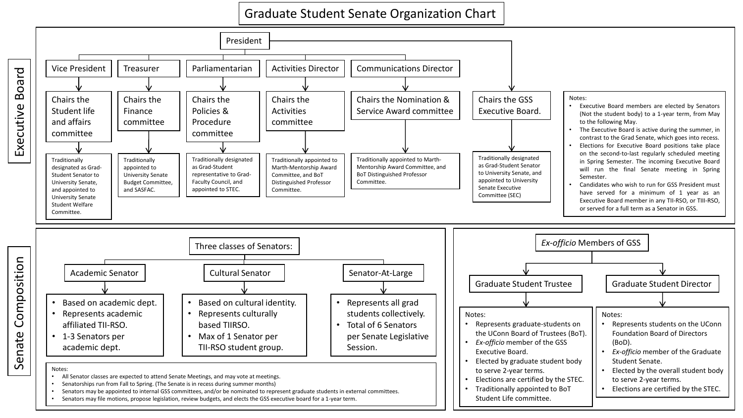# Graduate Student Senate Organization Chart

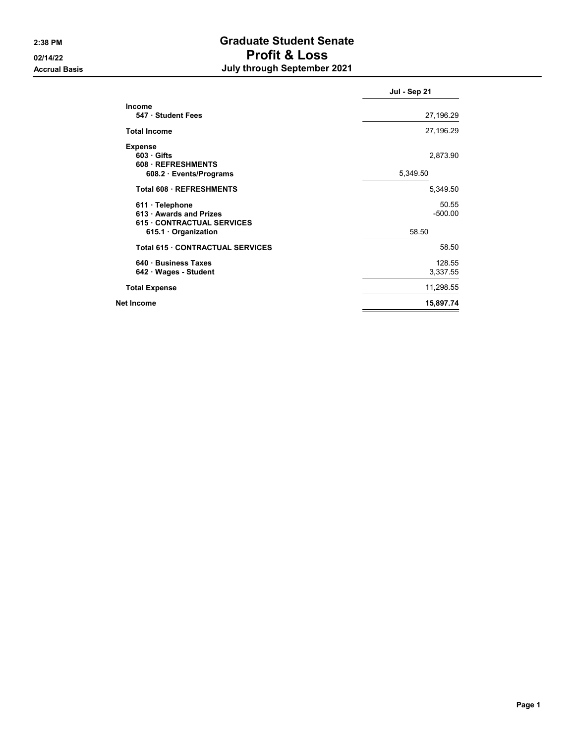## 2:38 PM Graduate Student Senate 02/14/22 Profit & Loss Accrual Basis July through September 2021

|                                  | Jul - Sep 21 |
|----------------------------------|--------------|
| <b>Income</b>                    |              |
| 547 Student Fees                 | 27,196.29    |
| <b>Total Income</b>              | 27,196.29    |
| <b>Expense</b>                   |              |
| $603$ Gifts                      | 2,873.90     |
| 608 REFRESHMENTS                 |              |
| 608.2 Events/Programs            | 5,349.50     |
| <b>Total 608 REFRESHMENTS</b>    | 5,349.50     |
| $611 \cdot$ Telephone            | 50.55        |
| 613 Awards and Prizes            | $-500.00$    |
| <b>615 CONTRACTUAL SERVICES</b>  |              |
| 615.1 Organization               | 58.50        |
| Total 615 · CONTRACTUAL SERVICES | 58.50        |
| 640 Business Taxes               | 128.55       |
| 642 · Wages - Student            | 3,337.55     |
| <b>Total Expense</b>             | 11,298.55    |
| Net Income                       | 15,897.74    |
|                                  |              |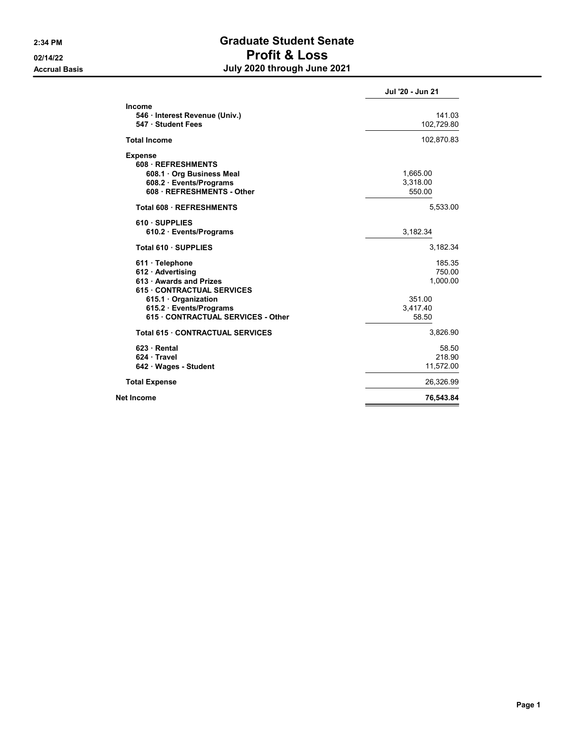## 2:34 PM Graduate Student Senate 02/14/22 Profit & Loss Accrual Basis **Accrual Basis July 2020 through June 2021**

|                                                                                                                                                                                       | Jul '20 - Jun 21                                            |
|---------------------------------------------------------------------------------------------------------------------------------------------------------------------------------------|-------------------------------------------------------------|
| Income<br>546 · Interest Revenue (Univ.)<br>547 · Student Fees                                                                                                                        | 141.03<br>102,729.80                                        |
|                                                                                                                                                                                       |                                                             |
| <b>Total Income</b>                                                                                                                                                                   | 102,870.83                                                  |
| <b>Expense</b><br>608 REFRESHMENTS<br>608.1 Org Business Meal<br>608.2 Events/Programs<br>608 · REFRESHMENTS - Other                                                                  | 1,665.00<br>3,318.00<br>550.00                              |
| <b>Total 608 REFRESHMENTS</b>                                                                                                                                                         | 5,533.00                                                    |
| 610 · SUPPLIES<br>610.2 Events/Programs                                                                                                                                               | 3,182.34                                                    |
| Total 610 · SUPPLIES                                                                                                                                                                  | 3,182.34                                                    |
| 611 · Telephone<br>612 · Advertising<br>613 Awards and Prizes<br><b>615 CONTRACTUAL SERVICES</b><br>615.1 Organization<br>615.2 · Events/Programs<br>615 CONTRACTUAL SERVICES - Other | 185.35<br>750.00<br>1,000.00<br>351.00<br>3,417.40<br>58.50 |
| <b>Total 615 CONTRACTUAL SERVICES</b>                                                                                                                                                 | 3,826.90                                                    |
| 623 Rental<br>624 Travel<br>642 · Wages - Student                                                                                                                                     | 58.50<br>218.90<br>11,572.00                                |
| <b>Total Expense</b>                                                                                                                                                                  | 26,326.99                                                   |
| Net Income                                                                                                                                                                            | 76,543.84                                                   |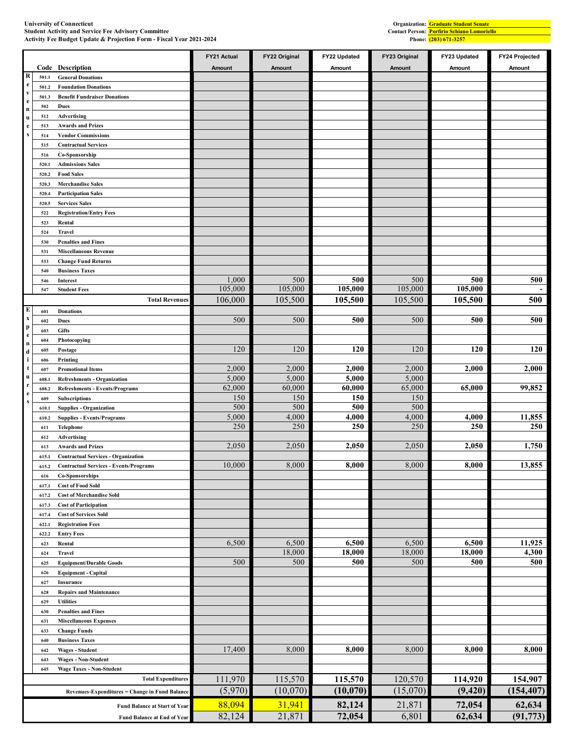|                                |              |                                                    | FY21 Actual   | FY22 Original | FY22 Updated | FY23 Original | FY23 Updated | <b>FY24 Projected</b> |
|--------------------------------|--------------|----------------------------------------------------|---------------|---------------|--------------|---------------|--------------|-----------------------|
|                                | Code         | <b>Description</b>                                 | <b>Amount</b> | <b>Amount</b> | Amount       | Amount        | Amount       | Amount                |
| $\bf R$                        | 501.1        | <b>General Donations</b>                           |               |               |              |               |              |                       |
| $\mathbf{e}$<br>$\mathbf v$    | 501.2        | <b>Foundation Donations</b>                        |               |               |              |               |              |                       |
| $\mathbf{e}$                   | 501.3        | <b>Benefit Fundraiser Donations</b><br><b>Dues</b> |               |               |              |               |              |                       |
| n                              | 502<br>512   | Advertising                                        |               |               |              |               |              |                       |
| u<br>$\mathbf{e}$              | 513          | <b>Awards and Prizes</b>                           |               |               |              |               |              |                       |
| ${\bf s}$                      | 514          | <b>Vendor Commissions</b>                          |               |               |              |               |              |                       |
|                                | 515          | <b>Contractual Services</b>                        |               |               |              |               |              |                       |
|                                | 516          | Co-Sponsorship                                     |               |               |              |               |              |                       |
|                                | 520.1        | <b>Admissions Sales</b>                            |               |               |              |               |              |                       |
|                                | 520.2        | <b>Food Sales</b>                                  |               |               |              |               |              |                       |
|                                | 520.3        | <b>Merchandise Sales</b>                           |               |               |              |               |              |                       |
|                                | 520.4        | <b>Participation Sales</b>                         |               |               |              |               |              |                       |
|                                | 520.5        | <b>Services Sales</b>                              |               |               |              |               |              |                       |
|                                | 522          | <b>Registration/Entry Fees</b><br>Rental           |               |               |              |               |              |                       |
|                                | 523<br>524   | Travel                                             |               |               |              |               |              |                       |
|                                | 530          | <b>Penalties and Fines</b>                         |               |               |              |               |              |                       |
|                                | 531          | <b>Miscellaneous Revenue</b>                       |               |               |              |               |              |                       |
|                                | 533          | <b>Change Fund Returns</b>                         |               |               |              |               |              |                       |
|                                | 540          | <b>Business Taxes</b>                              |               |               |              |               |              |                       |
|                                | 546          | Interest                                           | 1,000         | 500           | 500          | 500           | 500          | 500                   |
|                                | 547          | <b>Student Fees</b>                                | 105,000       | 105,000       | 105,000      | 105,000       | 105,000      |                       |
|                                |              | <b>Total Revenues</b>                              | 106,000       | 105,500       | 105,500      | 105,500       | 105,500      | 500                   |
| E                              | 601          | <b>Donations</b>                                   |               |               |              |               |              |                       |
| $\boldsymbol{\mathrm{x}}$<br>p | 602          | <b>Dues</b>                                        | 500           | 500           | 500          | 500           | 500          | 500                   |
| $\mathbf{e}$                   | 603          | <b>Gifts</b>                                       |               |               |              |               |              |                       |
| $\bf n$                        | 604<br>605   | Photocopying                                       | 120           | 120           | 120          | 120           | 120          | 120                   |
| d<br>i.                        | 606          | Postage<br>Printing                                |               |               |              |               |              |                       |
| t                              | 607          | <b>Promotional Items</b>                           | 2,000         | 2,000         | 2,000        | 2,000         | 2,000        | 2,000                 |
| u                              | 608.1        | <b>Refreshments - Organization</b>                 | 5,000         | 5,000         | 5,000        | 5,000         |              |                       |
| r                              | 608.2        | <b>Refreshments - Events/Programs</b>              | 62,000        | 60,000        | 60,000       | 65,000        | 65,000       | 99,852                |
| $\mathbf{e}$<br>s              | 609          | <b>Subscriptions</b>                               | 150           | 150           | 150          | 150           |              |                       |
|                                | 610.1        | <b>Supplies - Organization</b>                     | 500           | 500           | 500          | 500           |              |                       |
|                                | 610.2        | <b>Supplies - Events/Programs</b>                  | 5,000         | 4,000         | 4,000        | 4,000         | 4,000        | 11,855                |
|                                | 611          | Telephone                                          | 250           | 250           | 250          | 250           | 250          | 250                   |
|                                | 612          | Advertising                                        |               |               |              |               |              |                       |
|                                | 613          | <b>Awards and Prizes</b>                           | 2,050         | 2,050         | 2,050        | 2,050         | 2,050        | 1,750                 |
|                                | 615.1        | <b>Contractual Services - Organization</b>         | 10,000        | 8,000         | 8,000        | 8,000         | 8,000        | 13,855                |
|                                | 615.2        | <b>Contractual Services - Events/Programs</b>      |               |               |              |               |              |                       |
|                                | 616<br>617.1 | <b>Co-Sponsorships</b><br><b>Cost of Food Sold</b> |               |               |              |               |              |                       |
|                                | 617.2        | <b>Cost of Merchandise Sold</b>                    |               |               |              |               |              |                       |
|                                | 617.3        | <b>Cost of Participation</b>                       |               |               |              |               |              |                       |
|                                | 617.4        | <b>Cost of Services Sold</b>                       |               |               |              |               |              |                       |
|                                | 622.1        | <b>Registration Fees</b>                           |               |               |              |               |              |                       |
|                                | 622.2        | <b>Entry Fees</b>                                  |               |               |              |               |              |                       |
|                                | 623          | Rental                                             | 6,500         | 6,500         | 6,500        | 6,500         | 6,500        | 11,925                |
|                                | 624          | Travel                                             |               | 18,000        | 18,000       | 18,000        | 18,000       | 4,300                 |
|                                | 625          | <b>Equipment/Durable Goods</b>                     | 500           | 500           | 500          | 500           | 500          | 500                   |
|                                | 626          | <b>Equipment - Capital</b>                         |               |               |              |               |              |                       |
|                                | 627          | Insurance                                          |               |               |              |               |              |                       |
|                                | 628          | <b>Repairs and Maintenance</b>                     |               |               |              |               |              |                       |
|                                | 629<br>630   | <b>Utilities</b><br><b>Penalties and Fines</b>     |               |               |              |               |              |                       |
|                                | 631          | <b>Miscellaneous Expenses</b>                      |               |               |              |               |              |                       |
|                                | 633          | <b>Change Funds</b>                                |               |               |              |               |              |                       |
|                                | 640          | <b>Business Taxes</b>                              |               |               |              |               |              |                       |
|                                | 642          | <b>Wages - Student</b>                             | 17,400        | 8,000         | 8,000        | 8,000         | 8,000        | 8,000                 |
|                                | 643          | <b>Wages - Non-Student</b>                         |               |               |              |               |              |                       |
|                                | 645          | <b>Wage Taxes - Non-Student</b>                    |               |               |              |               |              |                       |
|                                |              | <b>Total Expenditures</b>                          | 111,970       | 115,570       | 115,570      | 120,570       | 114,920      | 154,907               |
|                                |              | Revenues-Expenditures = Change in Fund Balance     | (5,970)       | (10,070)      | (10,070)     | (15,070)      | (9, 420)     | (154, 407)            |
|                                |              | <b>Fund Balance at Start of Year</b>               | 88,094        | 31,941        | 82,124       | 21,871        | 72,054       | 62,634                |
|                                |              | <b>Fund Balance at End of Year</b>                 | 82,124        | 21,871        | 72,054       | 6,801         | 62,634       | (91, 773)             |

#### **University of Connecticut Student Activity and Service Fee Advisory Committee Contact Person: Activity Fee Budget Update & Projection Form - Fiscal Year 2021-2024 Phone:**